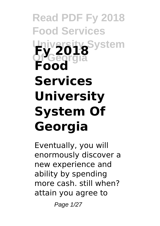# **Read PDF Fy 2018 Food Services University System Of Georgia Fy 2018 Food Services University System Of Georgia**

Eventually, you will enormously discover a new experience and ability by spending more cash. still when? attain you agree to

Page 1/27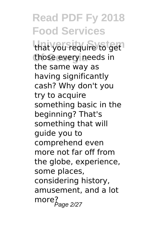**Read PDF Fy 2018 Food Services** that you require to get those every needs in the same way as having significantly cash? Why don't you try to acquire something basic in the beginning? That's something that will guide you to comprehend even more not far off from the globe, experience, some places, considering history, amusement, and a lot  $more<sub>Page 2/27</sub>$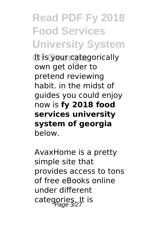# **Read PDF Fy 2018 Food Services University System**

**Of Georgia** It is your categorically own get older to pretend reviewing habit. in the midst of guides you could enjoy now is **fy 2018 food services university system of georgia** below.

AvaxHome is a pretty simple site that provides access to tons of free eBooks online under different categories. It is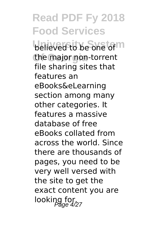**Read PDF Fy 2018 Food Services believed to be one of m** the major non-torrent file sharing sites that features an eBooks&eLearning section among many other categories. It features a massive database of free eBooks collated from across the world. Since there are thousands of pages, you need to be very well versed with the site to get the exact content you are looking for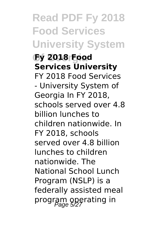**Read PDF Fy 2018 Food Services University System Of Georgia Fy 2018 Food Services University** FY 2018 Food Services - University System of Georgia In FY 2018, schools served over 4.8 billion lunches to children nationwide. In FY 2018, schools served over 4.8 billion lunches to children nationwide. The National School Lunch Program (NSLP) is a federally assisted meal program operating in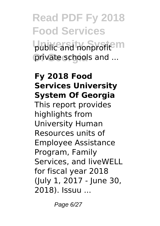# **Read PDF Fy 2018 Food Services** public and nonprofit<sup>e</sup> m private schools and ...

#### **Fy 2018 Food Services University System Of Georgia** This report provides highlights from University Human Resources units of Employee Assistance Program, Family Services, and liveWELL

for fiscal year 2018 (July 1, 2017 - June 30, 2018). Issuu ...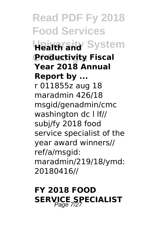**Read PDF Fy 2018 Food Services Health and** System **Of Georgia Productivity Fiscal Year 2018 Annual Report by ...** r 011855z aug 18 maradmin 426/18 msgid/genadmin/cmc washington dc l lf// subj/fy 2018 food service specialist of the year award winners// ref/a/msgid: maradmin/219/18/ymd: 20180416//

### **FY 2018 FOOD SERVICE SPECIALIST**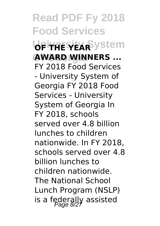**Read PDF Fy 2018 Food Services**  $b$ Fi<del>yAESEXR</del>System **Of Georgia AWARD WINNERS ...** FY 2018 Food Services - University System of Georgia FY 2018 Food Services - University System of Georgia In FY 2018, schools served over 4.8 billion lunches to children nationwide. In FY 2018, schools served over 4.8 billion lunches to children nationwide. The National School Lunch Program (NSLP) is a federally assisted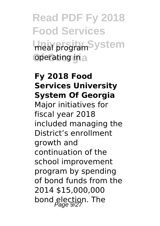# **Read PDF Fy 2018 Food Services** meal program<sup>System</sup> operating in a

#### **Fy 2018 Food Services University System Of Georgia**

Major initiatives for fiscal year 2018 included managing the District's enrollment growth and continuation of the school improvement program by spending of bond funds from the 2014 \$15,000,000 bond election. The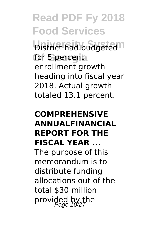**Read PDF Fy 2018 Food Services District had budgeted**<sup>n</sup> for 5 percent enrollment growth heading into fiscal year 2018. Actual growth totaled 13.1 percent.

#### **COMPREHENSIVE ANNUALFINANCIAL REPORT FOR THE FISCAL YEAR ...**

The purpose of this memorandum is to distribute funding allocations out of the total \$30 million provided by the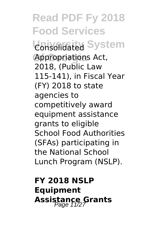**Read PDF Fy 2018 Food Services Consolidated System Of Georgia** Appropriations Act, 2018, (Public Law 115-141), in Fiscal Year (FY) 2018 to state agencies to competitively award equipment assistance grants to eligible School Food Authorities (SFAs) participating in the National School Lunch Program (NSLP).

### **FY 2018 NSLP Equipment Assistance Grants**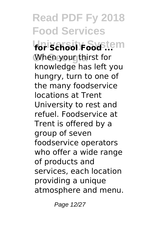**Read PDF Fy 2018 Food Services University System for School Food ...** When your thirst for knowledge has left you hungry, turn to one of the many foodservice locations at Trent University to rest and refuel. Foodservice at Trent is offered by a group of seven foodservice operators who offer a wide range of products and services, each location providing a unique atmosphere and menu.

Page 12/27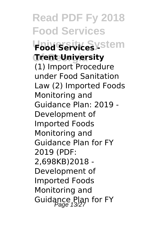**Read PDF Fy 2018 Food Services Food Services ystem Of Georgia Trent University** (1) Import Procedure under Food Sanitation Law (2) Imported Foods Monitoring and Guidance Plan: 2019 - Development of Imported Foods Monitoring and Guidance Plan for FY 2019 (PDF: 2,698KB)2018 - Development of Imported Foods Monitoring and Guidance Plan for FY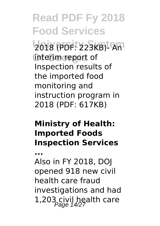**Read PDF Fy 2018 Food Services University System** 2018 (PDF: 223KB)- An interim report of Inspection results of the imported food monitoring and instruction program in 2018 (PDF: 617KB)

#### **Ministry of Health: Imported Foods Inspection Services**

**...**

Also in FY 2018, DOJ opened 918 new civil health care fraud investigations and had 1,203 civil health care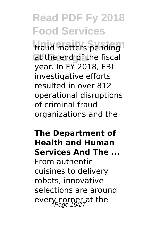# **Read PDF Fy 2018 Food Services**

fraud matters pending<sup>1</sup> at the end of the fiscal year. In FY 2018, FBI investigative efforts resulted in over 812 operational disruptions of criminal fraud organizations and the

#### **The Department of Health and Human Services And The ...** From authentic cuisines to delivery robots, innovative

selections are around every corner at the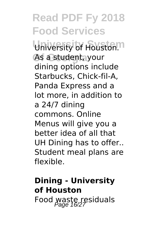### **Read PDF Fy 2018 Food Services** University of Houston.<sup>m</sup> **Of Georgia** As a student, your dining options include Starbucks, Chick-fil-A, Panda Express and a lot more, in addition to a 24/7 dining commons. Online Menus will give you a better idea of all that UH Dining has to offer.. Student meal plans are flexible.

### **Dining - University of Houston** Food waste residuals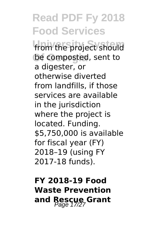# **Read PDF Fy 2018 Food Services**

from the project should be composted, sent to a digester, or otherwise diverted from landfills, if those services are available in the jurisdiction where the project is located. Funding. \$5,750,000 is available for fiscal year (FY) 2018–19 (using FY 2017-18 funds).

### **FY 2018-19 Food Waste Prevention and Rescue Grant** Page 17/27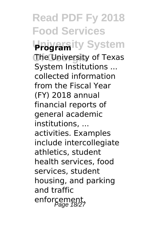**Read PDF Fy 2018 Food Services University System Program Of Georgia** The University of Texas System Institutions ... collected information from the Fiscal Year (FY) 2018 annual financial reports of general academic institutions, ... activities. Examples include intercollegiate athletics, student health services, food services, student housing, and parking and traffic enforcement,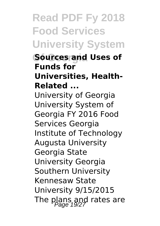# **Read PDF Fy 2018 Food Services University System**

**Of Georgia Sources and Uses of Funds for Universities, Health-Related ...**

University of Georgia University System of Georgia FY 2016 Food Services Georgia Institute of Technology Augusta University Georgia State University Georgia Southern University Kennesaw State University 9/15/2015 The plans and rates are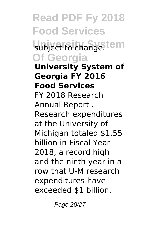**Read PDF Fy 2018 Food Services** subject to change.tem **Of Georgia University System of Georgia FY 2016 Food Services** FY 2018 Research Annual Report . Research expenditures at the University of Michigan totaled \$1.55 billion in Fiscal Year 2018, a record high and the ninth year in a row that U-M research expenditures have exceeded \$1 billion.

Page 20/27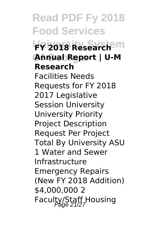**Read PDF Fy 2018 Food Services University System FY 2018 Research Of Georgia Annual Report | U-M Research** Facilities Needs Requests for FY 2018 2017 Legislative Session University University Priority Project Description Request Per Project Total By University ASU 1 Water and Sewer Infrastructure Emergency Repairs (New FY 2018 Addition) \$4,000,000 2 Faculty/Staff Housing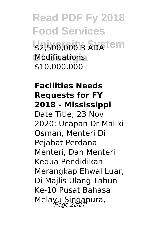### **Read PDF Fy 2018 Food Services** \$2,500,000 3 ADA<sup>tem</sup> **Of Georgia** Modifications \$10,000,000

#### **Facilities Needs Requests for FY 2018 - Mississippi** Date Title; 23 Nov 2020: Ucapan Dr Maliki Osman, Menteri Di Pejabat Perdana Menteri, Dan Menteri Kedua Pendidikan Merangkap Ehwal Luar, Di Majlis Ulang Tahun Ke-10 Pusat Bahasa Melayu Singapura,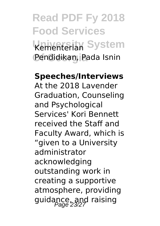# **Read PDF Fy 2018 Food Services University System** Kementerian **Of Georgia** Pendidikan, Pada Isnin

#### **Speeches/Interviews**

At the 2018 Lavender Graduation, Counseling and Psychological Services' Kori Bennett received the Staff and Faculty Award, which is "given to a University administrator acknowledging outstanding work in creating a supportive atmosphere, providing guidance, and raising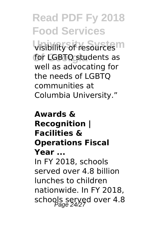# **Read PDF Fy 2018 Food Services**

**visibility of resources**<sup>m</sup> for LGBTQ students as well as advocating for the needs of LGBTQ communities at Columbia University."

#### **Awards & Recognition | Facilities & Operations Fiscal Year ...** In FY 2018, schools served over 4.8 billion lunches to children nationwide. In FY 2018, schools served over 4.8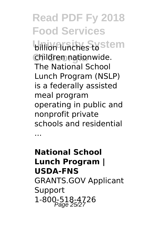### **Read PDF Fy 2018 Food Services billion lunches to stem Of Georgia** children nationwide. The National School Lunch Program (NSLP) is a federally assisted meal program operating in public and nonprofit private schools and residential

...

### **National School Lunch Program | USDA-FNS** GRANTS.GOV Applicant Support 1-800-518-4726<br>Page 25/27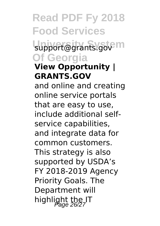# **Read PDF Fy 2018 Food Services**

support@grants.gov<sup>pm</sup> **Of Georgia**

### **View Opportunity | GRANTS.GOV**

and online and creating online service portals that are easy to use, include additional selfservice capabilities, and integrate data for common customers. This strategy is also supported by USDA's FY 2018-2019 Agency Priority Goals. The Department will highlight the IT